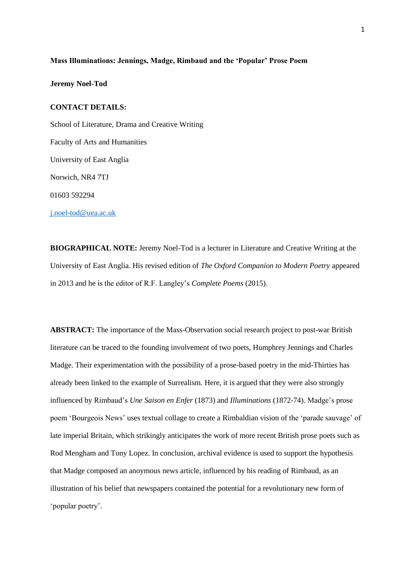## **Mass Illuminations: Jennings, Madge, Rimbaud and the 'Popular' Prose Poem**

## **Jeremy Noel-Tod**

## **CONTACT DETAILS:**

School of Literature, Drama and Creative Writing Faculty of Arts and Humanities University of East Anglia Norwich, NR4 7TJ 01603 592294 [j.noel-tod@uea.ac.uk](mailto:j.noel-tod@uea.ac.uk)

**BIOGRAPHICAL NOTE:** Jeremy Noel-Tod is a lecturer in Literature and Creative Writing at the University of East Anglia. His revised edition of *The Oxford Companion to Modern Poetry* appeared in 2013 and he is the editor of R.F. Langley's *Complete Poems* (2015).

**ABSTRACT:** The importance of the Mass-Observation social research project to post-war British literature can be traced to the founding involvement of two poets, Humphrey Jennings and Charles Madge. Their experimentation with the possibility of a prose-based poetry in the mid-Thirties has already been linked to the example of Surrealism. Here, it is argued that they were also strongly influenced by Rimbaud's *Une Saison en Enfer* (1873) and *Illuminations* (1872-74). Madge's prose poem 'Bourgeois News' uses textual collage to create a Rimbaldian vision of the 'parade sauvage' of late imperial Britain, which strikingly anticipates the work of more recent British prose poets such as Rod Mengham and Tony Lopez. In conclusion, archival evidence is used to support the hypothesis that Madge composed an anoymous news article, influenced by his reading of Rimbaud, as an illustration of his belief that newspapers contained the potential for a revolutionary new form of 'popular poetry'.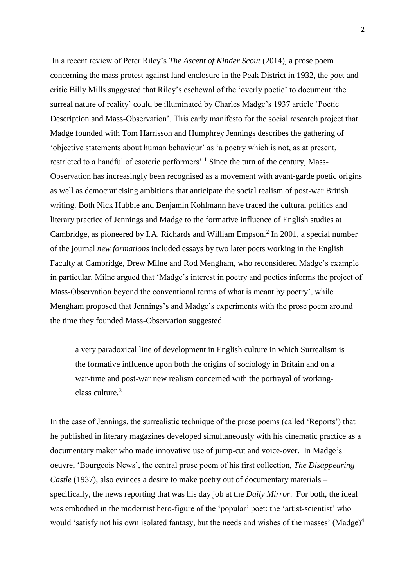In a recent review of Peter Riley's *The Ascent of Kinder Scout* (2014), a prose poem concerning the mass protest against land enclosure in the Peak District in 1932, the poet and critic Billy Mills suggested that Riley's eschewal of the 'overly poetic' to document 'the surreal nature of reality' could be illuminated by Charles Madge's 1937 article 'Poetic Description and Mass-Observation'. This early manifesto for the social research project that Madge founded with Tom Harrisson and Humphrey Jennings describes the gathering of 'objective statements about human behaviour' as 'a poetry which is not, as at present, restricted to a handful of esoteric performers'.<sup>1</sup> Since the turn of the century, Mass-Observation has increasingly been recognised as a movement with avant-garde poetic origins as well as democraticising ambitions that anticipate the social realism of post-war British writing. Both Nick Hubble and Benjamin Kohlmann have traced the cultural politics and literary practice of Jennings and Madge to the formative influence of English studies at Cambridge, as pioneered by I.A. Richards and William Empson.<sup>2</sup> In 2001, a special number of the journal *new formations* included essays by two later poets working in the English Faculty at Cambridge, Drew Milne and Rod Mengham, who reconsidered Madge's example in particular. Milne argued that 'Madge's interest in poetry and poetics informs the project of Mass-Observation beyond the conventional terms of what is meant by poetry', while Mengham proposed that Jennings's and Madge's experiments with the prose poem around the time they founded Mass-Observation suggested

a very paradoxical line of development in English culture in which Surrealism is the formative influence upon both the origins of sociology in Britain and on a war-time and post-war new realism concerned with the portrayal of workingclass culture.<sup>3</sup>

In the case of Jennings, the surrealistic technique of the prose poems (called 'Reports') that he published in literary magazines developed simultaneously with his cinematic practice as a documentary maker who made innovative use of jump-cut and voice-over. In Madge's oeuvre, 'Bourgeois News', the central prose poem of his first collection, *The Disappearing Castle* (1937), also evinces a desire to make poetry out of documentary materials – specifically, the news reporting that was his day job at the *Daily Mirror*. For both, the ideal was embodied in the modernist hero-figure of the 'popular' poet: the 'artist-scientist' who would 'satisfy not his own isolated fantasy, but the needs and wishes of the masses' (Madge)<sup>4</sup>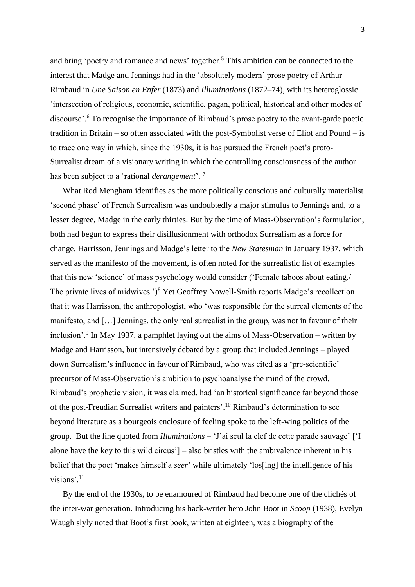and bring 'poetry and romance and news' together.<sup>5</sup> This ambition can be connected to the interest that Madge and Jennings had in the 'absolutely modern' prose poetry of Arthur Rimbaud in *Une Saison en Enfer* (1873) and *Illuminations* (1872–74), with its heteroglossic 'intersection of religious, economic, scientific, pagan, political, historical and other modes of discourse'. <sup>6</sup> To recognise the importance of Rimbaud's prose poetry to the avant-garde poetic tradition in Britain – so often associated with the post-Symbolist verse of Eliot and Pound – is to trace one way in which, since the 1930s, it is has pursued the French poet's proto-Surrealist dream of a visionary writing in which the controlling consciousness of the author has been subject to a 'rational *derangement*'. <sup>7</sup>

 What Rod Mengham identifies as the more politically conscious and culturally materialist 'second phase' of French Surrealism was undoubtedly a major stimulus to Jennings and, to a lesser degree, Madge in the early thirties. But by the time of Mass-Observation's formulation, both had begun to express their disillusionment with orthodox Surrealism as a force for change. Harrisson, Jennings and Madge's letter to the *New Statesman* in January 1937, which served as the manifesto of the movement, is often noted for the surrealistic list of examples that this new 'science' of mass psychology would consider ('Female taboos about eating./ The private lives of midwives.' $)^8$  Yet Geoffrey Nowell-Smith reports Madge's recollection that it was Harrisson, the anthropologist, who 'was responsible for the surreal elements of the manifesto, and […] Jennings, the only real surrealist in the group, was not in favour of their inclusion'.<sup>9</sup> In May 1937, a pamphlet laying out the aims of Mass-Observation – written by Madge and Harrisson, but intensively debated by a group that included Jennings – played down Surrealism's influence in favour of Rimbaud, who was cited as a 'pre-scientific' precursor of Mass-Observation's ambition to psychoanalyse the mind of the crowd. Rimbaud's prophetic vision, it was claimed, had 'an historical significance far beyond those of the post-Freudian Surrealist writers and painters'.<sup>10</sup> Rimbaud's determination to see beyond literature as a bourgeois enclosure of feeling spoke to the left-wing politics of the group. But the line quoted from *Illuminations* – 'J'ai seul la clef de cette parade sauvage' ['I alone have the key to this wild circus'] – also bristles with the ambivalence inherent in his belief that the poet 'makes himself a *seer*' while ultimately 'los[ing] the intelligence of his visions'.<sup>11</sup>

 By the end of the 1930s, to be enamoured of Rimbaud had become one of the clichés of the inter-war generation. Introducing his hack-writer hero John Boot in *Scoop* (1938), Evelyn Waugh slyly noted that Boot's first book, written at eighteen, was a biography of the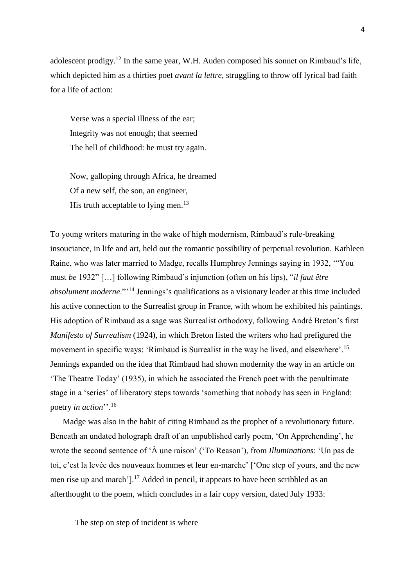adolescent prodigy.<sup>12</sup> In the same year, W.H. Auden composed his sonnet on Rimbaud's life, which depicted him as a thirties poet *avant la lettre*, struggling to throw off lyrical bad faith for a life of action:

Verse was a special illness of the ear; Integrity was not enough; that seemed The hell of childhood: he must try again.

Now, galloping through Africa, he dreamed Of a new self, the son, an engineer, His truth acceptable to lying men. $13$ 

To young writers maturing in the wake of high modernism, Rimbaud's rule-breaking insouciance, in life and art, held out the romantic possibility of perpetual revolution. Kathleen Raine, who was later married to Madge, recalls Humphrey Jennings saying in 1932, '"You must *be* 1932" […] following Rimbaud's injunction (often on his lips), "*il faut être absolument moderne*."'<sup>14</sup> Jennings's qualifications as a visionary leader at this time included his active connection to the Surrealist group in France, with whom he exhibited his paintings. His adoption of Rimbaud as a sage was Surrealist orthodoxy, following André Breton's first *Manifesto of Surrealism* (1924), in which Breton listed the writers who had prefigured the movement in specific ways: 'Rimbaud is Surrealist in the way he lived, and elsewhere'.<sup>15</sup> Jennings expanded on the idea that Rimbaud had shown modernity the way in an article on 'The Theatre Today' (1935), in which he associated the French poet with the penultimate stage in a 'series' of liberatory steps towards 'something that nobody has seen in England: poetry *in action*''.<sup>16</sup>

 Madge was also in the habit of citing Rimbaud as the prophet of a revolutionary future. Beneath an undated holograph draft of an unpublished early poem, 'On Apprehending', he wrote the second sentence of 'À une raison' ('To Reason'), from *Illuminations*: 'Un pas de toi, c'est la levée des nouveaux hommes et leur en-marche' ['One step of yours, and the new men rise up and march'].<sup>17</sup> Added in pencil, it appears to have been scribbled as an afterthought to the poem, which concludes in a fair copy version, dated July 1933:

The step on step of incident is where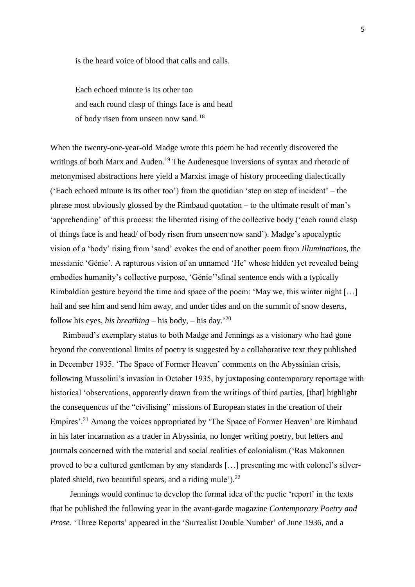is the heard voice of blood that calls and calls.

Each echoed minute is its other too and each round clasp of things face is and head of body risen from unseen now sand.<sup>18</sup>

When the twenty-one-year-old Madge wrote this poem he had recently discovered the writings of both Marx and Auden.<sup>19</sup> The Audenesque inversions of syntax and rhetoric of metonymised abstractions here yield a Marxist image of history proceeding dialectically ('Each echoed minute is its other too') from the quotidian 'step on step of incident' – the phrase most obviously glossed by the Rimbaud quotation – to the ultimate result of man's 'apprehending' of this process: the liberated rising of the collective body ('each round clasp of things face is and head/ of body risen from unseen now sand'). Madge's apocalyptic vision of a 'body' rising from 'sand' evokes the end of another poem from *Illuminations*, the messianic 'Génie'. A rapturous vision of an unnamed 'He' whose hidden yet revealed being embodies humanity's collective purpose, 'Génie''sfinal sentence ends with a typically Rimbaldian gesture beyond the time and space of the poem: 'May we, this winter night […] hail and see him and send him away, and under tides and on the summit of snow deserts, follow his eyes, *his breathing* – his body, – his day.'<sup>20</sup>

 Rimbaud's exemplary status to both Madge and Jennings as a visionary who had gone beyond the conventional limits of poetry is suggested by a collaborative text they published in December 1935. 'The Space of Former Heaven' comments on the Abyssinian crisis, following Mussolini's invasion in October 1935, by juxtaposing contemporary reportage with historical 'observations, apparently drawn from the writings of third parties, [that] highlight the consequences of the "civilising" missions of European states in the creation of their Empires'.<sup>21</sup> Among the voices appropriated by 'The Space of Former Heaven' are Rimbaud in his later incarnation as a trader in Abyssinia, no longer writing poetry, but letters and journals concerned with the material and social realities of colonialism ('Ras Makonnen proved to be a cultured gentleman by any standards […] presenting me with colonel's silverplated shield, two beautiful spears, and a riding mule').<sup>22</sup>

Jennings would continue to develop the formal idea of the poetic 'report' in the texts that he published the following year in the avant-garde magazine *Contemporary Poetry and Prose.* 'Three Reports' appeared in the 'Surrealist Double Number' of June 1936, and a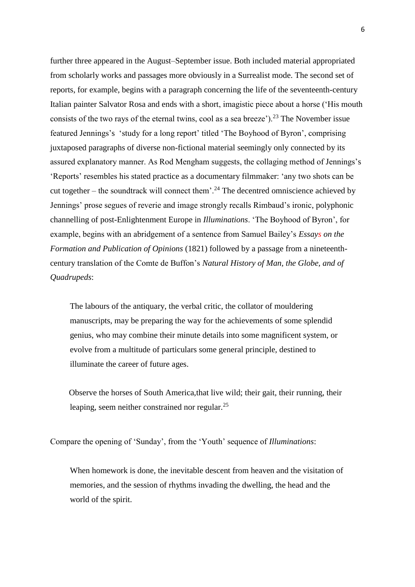further three appeared in the August–September issue. Both included material appropriated from scholarly works and passages more obviously in a Surrealist mode. The second set of reports, for example, begins with a paragraph concerning the life of the seventeenth-century Italian painter Salvator Rosa and ends with a short, imagistic piece about a horse ('His mouth consists of the two rays of the eternal twins, cool as a sea breeze').<sup>23</sup> The November issue featured Jennings's 'study for a long report' titled 'The Boyhood of Byron', comprising juxtaposed paragraphs of diverse non-fictional material seemingly only connected by its assured explanatory manner. As Rod Mengham suggests, the collaging method of Jennings's 'Reports' resembles his stated practice as a documentary filmmaker: 'any two shots can be cut together – the soundtrack will connect them'.<sup>24</sup> The decentred omniscience achieved by Jennings' prose segues of reverie and image strongly recalls Rimbaud's ironic, polyphonic channelling of post-Enlightenment Europe in *Illuminations*. 'The Boyhood of Byron', for example, begins with an abridgement of a sentence from Samuel Bailey's *Essays on the Formation and Publication of Opinions* (1821) followed by a passage from a nineteenthcentury translation of the Comte de Buffon's *Natural History of Man, the Globe, and of Quadrupeds*:

The labours of the antiquary, the verbal critic, the collator of mouldering manuscripts, may be preparing the way for the achievements of some splendid genius, who may combine their minute details into some magnificent system, or evolve from a multitude of particulars some general principle, destined to illuminate the career of future ages.

Observe the horses of South America,that live wild; their gait, their running, their leaping, seem neither constrained nor regular.<sup>25</sup>

Compare the opening of 'Sunday', from the 'Youth' sequence of *Illuminations*:

When homework is done, the inevitable descent from heaven and the visitation of memories, and the session of rhythms invading the dwelling, the head and the world of the spirit.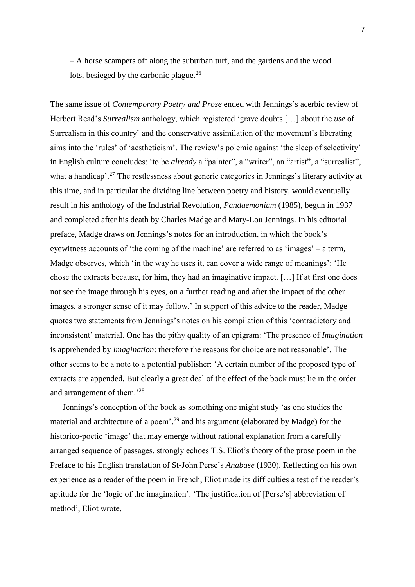– A horse scampers off along the suburban turf, and the gardens and the wood lots, besieged by the carbonic plague.<sup>26</sup>

The same issue of *Contemporary Poetry and Prose* ended with Jennings's acerbic review of Herbert Read's *Surrealism* anthology, which registered 'grave doubts […] about the *use* of Surrealism in this country' and the conservative assimilation of the movement's liberating aims into the 'rules' of 'aestheticism'. The review's polemic against 'the sleep of selectivity' in English culture concludes: 'to be *already* a "painter", a "writer", an "artist", a "surrealist", what a handicap'.<sup>27</sup> The restlessness about generic categories in Jennings's literary activity at this time, and in particular the dividing line between poetry and history, would eventually result in his anthology of the Industrial Revolution, *Pandaemonium* (1985), begun in 1937 and completed after his death by Charles Madge and Mary-Lou Jennings. In his editorial preface, Madge draws on Jennings's notes for an introduction, in which the book's eyewitness accounts of 'the coming of the machine' are referred to as 'images' – a term, Madge observes, which 'in the way he uses it, can cover a wide range of meanings': 'He chose the extracts because, for him, they had an imaginative impact. […] If at first one does not see the image through his eyes, on a further reading and after the impact of the other images, a stronger sense of it may follow.' In support of this advice to the reader, Madge quotes two statements from Jennings's notes on his compilation of this 'contradictory and inconsistent' material. One has the pithy quality of an epigram: 'The presence of *Imagination* is apprehended by *Imagination*: therefore the reasons for choice are not reasonable'. The other seems to be a note to a potential publisher: 'A certain number of the proposed type of extracts are appended. But clearly a great deal of the effect of the book must lie in the order and arrangement of them.'<sup>28</sup>

 Jennings's conception of the book as something one might study 'as one studies the material and architecture of a poem',  $^{29}$  and his argument (elaborated by Madge) for the historico-poetic 'image' that may emerge without rational explanation from a carefully arranged sequence of passages, strongly echoes T.S. Eliot's theory of the prose poem in the Preface to his English translation of St-John Perse's *Anabase* (1930). Reflecting on his own experience as a reader of the poem in French, Eliot made its difficulties a test of the reader's aptitude for the 'logic of the imagination'. 'The justification of [Perse's] abbreviation of method', Eliot wrote,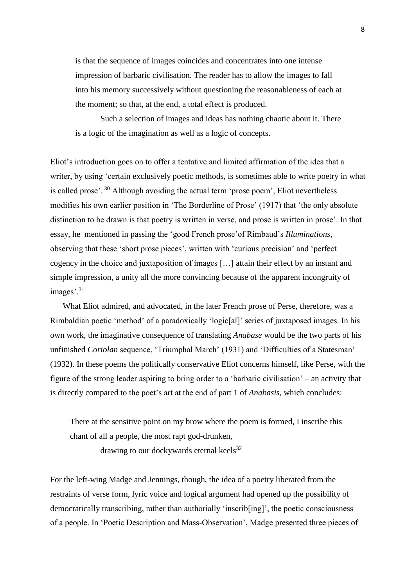is that the sequence of images coincides and concentrates into one intense impression of barbaric civilisation. The reader has to allow the images to fall into his memory successively without questioning the reasonableness of each at the moment; so that, at the end, a total effect is produced.

Such a selection of images and ideas has nothing chaotic about it. There is a logic of the imagination as well as a logic of concepts.

Eliot's introduction goes on to offer a tentative and limited affirmation of the idea that a writer, by using 'certain exclusively poetic methods, is sometimes able to write poetry in what is called prose'. <sup>30</sup> Although avoiding the actual term 'prose poem', Eliot nevertheless modifies his own earlier position in 'The Borderline of Prose' (1917) that 'the only absolute distinction to be drawn is that poetry is written in verse, and prose is written in prose'. In that essay, he mentioned in passing the 'good French prose'of Rimbaud's *Illuminations*, observing that these 'short prose pieces', written with 'curious precision' and 'perfect cogency in the choice and juxtaposition of images […] attain their effect by an instant and simple impression, a unity all the more convincing because of the apparent incongruity of images'.<sup>31</sup>

 What Eliot admired, and advocated, in the later French prose of Perse, therefore, was a Rimbaldian poetic 'method' of a paradoxically 'logic[al]' series of juxtaposed images. In his own work, the imaginative consequence of translating *Anabase* would be the two parts of his unfinished *Coriolan* sequence, 'Triumphal March' (1931) and 'Difficulties of a Statesman' (1932). In these poems the politically conservative Eliot concerns himself, like Perse, with the figure of the strong leader aspiring to bring order to a 'barbaric civilisation' – an activity that is directly compared to the poet's art at the end of part 1 of *Anabasis*, which concludes:

There at the sensitive point on my brow where the poem is formed, I inscribe this chant of all a people, the most rapt god-drunken, drawing to our dockywards eternal keels $^{32}$ 

For the left-wing Madge and Jennings, though, the idea of a poetry liberated from the restraints of verse form, lyric voice and logical argument had opened up the possibility of democratically transcribing, rather than authorially 'inscrib[ing]', the poetic consciousness of a people. In 'Poetic Description and Mass-Observation', Madge presented three pieces of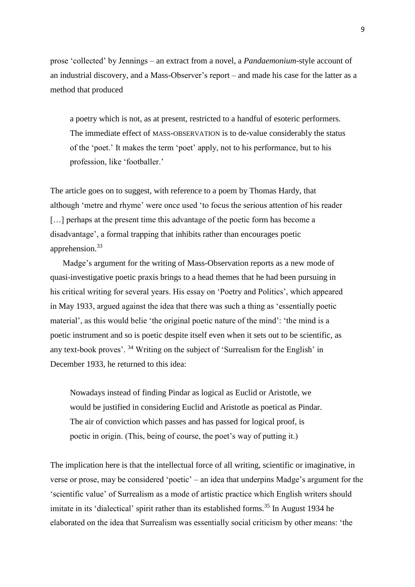prose 'collected' by Jennings – an extract from a novel, a *Pandaemonium*-style account of an industrial discovery, and a Mass-Observer's report – and made his case for the latter as a method that produced

a poetry which is not, as at present, restricted to a handful of esoteric performers. The immediate effect of MASS-OBSERVATION is to de-value considerably the status of the 'poet.' It makes the term 'poet' apply, not to his performance, but to his profession, like 'footballer.'

The article goes on to suggest, with reference to a poem by Thomas Hardy, that although 'metre and rhyme' were once used 'to focus the serious attention of his reader [...] perhaps at the present time this advantage of the poetic form has become a disadvantage', a formal trapping that inhibits rather than encourages poetic apprehension.<sup>33</sup>

 Madge's argument for the writing of Mass-Observation reports as a new mode of quasi-investigative poetic praxis brings to a head themes that he had been pursuing in his critical writing for several years. His essay on 'Poetry and Politics', which appeared in May 1933, argued against the idea that there was such a thing as 'essentially poetic material', as this would belie 'the original poetic nature of the mind': 'the mind is a poetic instrument and so is poetic despite itself even when it sets out to be scientific, as any text-book proves'. <sup>34</sup> Writing on the subject of 'Surrealism for the English' in December 1933, he returned to this idea:

Nowadays instead of finding Pindar as logical as Euclid or Aristotle, we would be justified in considering Euclid and Aristotle as poetical as Pindar. The air of conviction which passes and has passed for logical proof, is poetic in origin. (This, being of course, the poet's way of putting it.)

The implication here is that the intellectual force of all writing, scientific or imaginative, in verse or prose, may be considered 'poetic' – an idea that underpins Madge's argument for the 'scientific value' of Surrealism as a mode of artistic practice which English writers should imitate in its 'dialectical' spirit rather than its established forms.<sup>35</sup> In August 1934 he elaborated on the idea that Surrealism was essentially social criticism by other means: 'the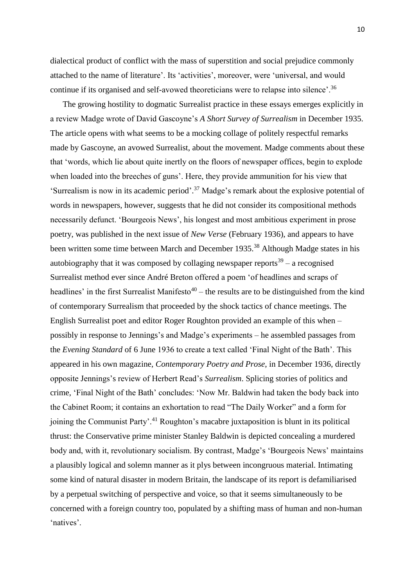dialectical product of conflict with the mass of superstition and social prejudice commonly attached to the name of literature'. Its 'activities', moreover, were 'universal, and would continue if its organised and self-avowed theoreticians were to relapse into silence'.<sup>36</sup>

 The growing hostility to dogmatic Surrealist practice in these essays emerges explicitly in a review Madge wrote of David Gascoyne's *A Short Survey of Surrealism* in December 1935. The article opens with what seems to be a mocking collage of politely respectful remarks made by Gascoyne, an avowed Surrealist, about the movement. Madge comments about these that 'words, which lie about quite inertly on the floors of newspaper offices, begin to explode when loaded into the breeches of guns'. Here, they provide ammunition for his view that 'Surrealism is now in its academic period'. <sup>37</sup> Madge's remark about the explosive potential of words in newspapers, however, suggests that he did not consider its compositional methods necessarily defunct. 'Bourgeois News', his longest and most ambitious experiment in prose poetry, was published in the next issue of *New Verse* (February 1936), and appears to have been written some time between March and December 1935.<sup>38</sup> Although Madge states in his autobiography that it was composed by collaging newspaper reports<sup>39</sup> – a recognised Surrealist method ever since André Breton offered a poem 'of headlines and scraps of headlines' in the first Surrealist Manifesto<sup>40</sup> – the results are to be distinguished from the kind of contemporary Surrealism that proceeded by the shock tactics of chance meetings. The English Surrealist poet and editor Roger Roughton provided an example of this when – possibly in response to Jennings's and Madge's experiments – he assembled passages from the *Evening Standard* of 6 June 1936 to create a text called 'Final Night of the Bath'. This appeared in his own magazine, *Contemporary Poetry and Prose*, in December 1936, directly opposite Jennings's review of Herbert Read's *Surrealism*. Splicing stories of politics and crime, 'Final Night of the Bath' concludes: 'Now Mr. Baldwin had taken the body back into the Cabinet Room; it contains an exhortation to read "The Daily Worker" and a form for joining the Communist Party'.<sup>41</sup> Roughton's macabre juxtaposition is blunt in its political thrust: the Conservative prime minister Stanley Baldwin is depicted concealing a murdered body and, with it, revolutionary socialism. By contrast, Madge's 'Bourgeois News' maintains a plausibly logical and solemn manner as it plys between incongruous material. Intimating some kind of natural disaster in modern Britain, the landscape of its report is defamiliarised by a perpetual switching of perspective and voice, so that it seems simultaneously to be concerned with a foreign country too, populated by a shifting mass of human and non-human 'natives'.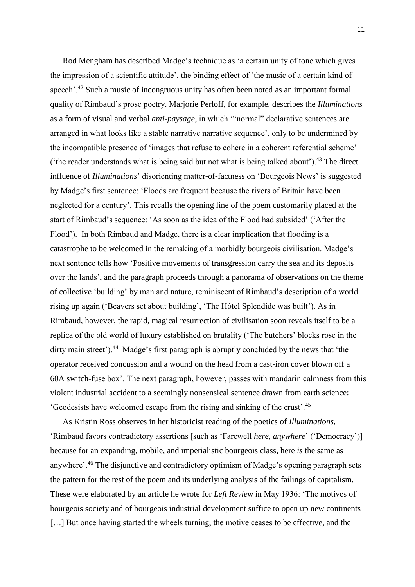Rod Mengham has described Madge's technique as 'a certain unity of tone which gives the impression of a scientific attitude', the binding effect of 'the music of a certain kind of speech'.<sup>42</sup> Such a music of incongruous unity has often been noted as an important formal quality of Rimbaud's prose poetry. Marjorie Perloff, for example, describes the *Illuminations* as a form of visual and verbal *anti-paysage*, in which '"normal" declarative sentences are arranged in what looks like a stable narrative narrative sequence', only to be undermined by the incompatible presence of 'images that refuse to cohere in a coherent referential scheme' ('the reader understands what is being said but not what is being talked about'). $^{43}$  The direct influence of *Illuminations*' disorienting matter-of-factness on 'Bourgeois News' is suggested by Madge's first sentence: 'Floods are frequent because the rivers of Britain have been neglected for a century'. This recalls the opening line of the poem customarily placed at the start of Rimbaud's sequence: 'As soon as the idea of the Flood had subsided' ('After the Flood'). In both Rimbaud and Madge, there is a clear implication that flooding is a catastrophe to be welcomed in the remaking of a morbidly bourgeois civilisation. Madge's next sentence tells how 'Positive movements of transgression carry the sea and its deposits over the lands', and the paragraph proceeds through a panorama of observations on the theme of collective 'building' by man and nature, reminiscent of Rimbaud's description of a world rising up again ('Beavers set about building', 'The Hôtel Splendide was built'). As in Rimbaud, however, the rapid, magical resurrection of civilisation soon reveals itself to be a replica of the old world of luxury established on brutality ('The butchers' blocks rose in the dirty main street').<sup>44</sup> Madge's first paragraph is abruptly concluded by the news that 'the operator received concussion and a wound on the head from a cast-iron cover blown off a 60A switch-fuse box'. The next paragraph, however, passes with mandarin calmness from this violent industrial accident to a seemingly nonsensical sentence drawn from earth science: 'Geodesists have welcomed escape from the rising and sinking of the crust'.<sup>45</sup>

 As Kristin Ross observes in her historicist reading of the poetics of *Illuminations*, 'Rimbaud favors contradictory assertions [such as 'Farewell *here, anywhere*' ('Democracy')] because for an expanding, mobile, and imperialistic bourgeois class, here *is* the same as anywhere'.<sup>46</sup> The disjunctive and contradictory optimism of Madge's opening paragraph sets the pattern for the rest of the poem and its underlying analysis of the failings of capitalism. These were elaborated by an article he wrote for *Left Review* in May 1936: 'The motives of bourgeois society and of bourgeois industrial development suffice to open up new continents [...] But once having started the wheels turning, the motive ceases to be effective, and the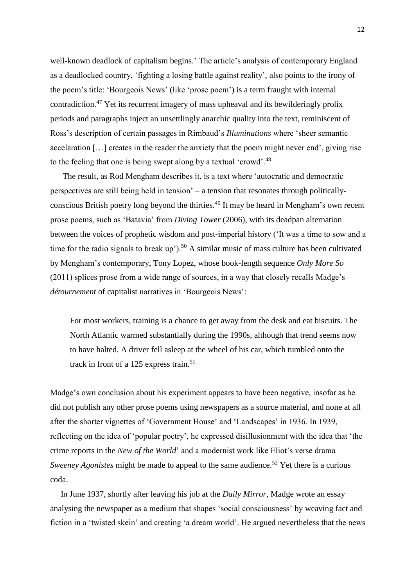well-known deadlock of capitalism begins.' The article's analysis of contemporary England as a deadlocked country, 'fighting a losing battle against reality', also points to the irony of the poem's title: 'Bourgeois News' (like 'prose poem') is a term fraught with internal contradiction.<sup>47</sup> Yet its recurrent imagery of mass upheaval and its bewilderingly prolix periods and paragraphs inject an unsettlingly anarchic quality into the text, reminiscent of Ross's description of certain passages in Rimbaud's *Illuminations* where 'sheer semantic accelaration […] creates in the reader the anxiety that the poem might never end', giving rise to the feeling that one is being swept along by a textual 'crowd'.<sup>48</sup>

 The result, as Rod Mengham describes it, is a text where 'autocratic and democratic perspectives are still being held in tension' – a tension that resonates through politicallyconscious British poetry long beyond the thirties. <sup>49</sup> It may be heard in Mengham's own recent prose poems, such as 'Batavia' from *Diving Tower* (2006), with its deadpan alternation between the voices of prophetic wisdom and post-imperial history ('It was a time to sow and a time for the radio signals to break up').<sup>50</sup> A similar music of mass culture has been cultivated by Mengham's contemporary, Tony Lopez, whose book-length sequence *Only More So* (2011) splices prose from a wide range of sources, in a way that closely recalls Madge's *détournement* of capitalist narratives in 'Bourgeois News':

For most workers, training is a chance to get away from the desk and eat biscuits. The North Atlantic warmed substantially during the 1990s, although that trend seems now to have halted. A driver fell asleep at the wheel of his car, which tumbled onto the track in front of a 125 express train.<sup>51</sup>

Madge's own conclusion about his experiment appears to have been negative, insofar as he did not publish any other prose poems using newspapers as a source material, and none at all after the shorter vignettes of 'Government House' and 'Landscapes' in 1936. In 1939, reflecting on the idea of 'popular poetry', he expressed disillusionment with the idea that 'the crime reports in the *New of the World*' and a modernist work like Eliot's verse drama *Sweeney Agonistes* might be made to appeal to the same audience.<sup>52</sup> Yet there is a curious coda.

 In June 1937, shortly after leaving his job at the *Daily Mirror*, Madge wrote an essay analysing the newspaper as a medium that shapes 'social consciousness' by weaving fact and fiction in a 'twisted skein' and creating 'a dream world'. He argued nevertheless that the news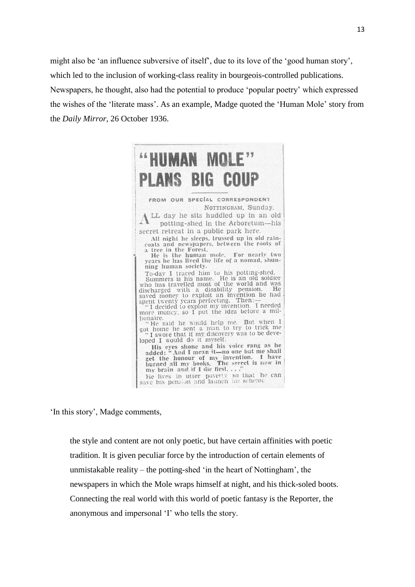might also be 'an influence subversive of itself', due to its love of the 'good human story', which led to the inclusion of working-class reality in bourgeois-controlled publications. Newspapers, he thought, also had the potential to produce 'popular poetry' which expressed the wishes of the 'literate mass'. As an example, Madge quoted the 'Human Mole' story from the *Daily Mirror*, 26 October 1936.



'In this story', Madge comments,

the style and content are not only poetic, but have certain affinities with poetic tradition. It is given peculiar force by the introduction of certain elements of unmistakable reality – the potting-shed 'in the heart of Nottingham', the newspapers in which the Mole wraps himself at night, and his thick-soled boots. Connecting the real world with this world of poetic fantasy is the Reporter, the anonymous and impersonal 'I' who tells the story.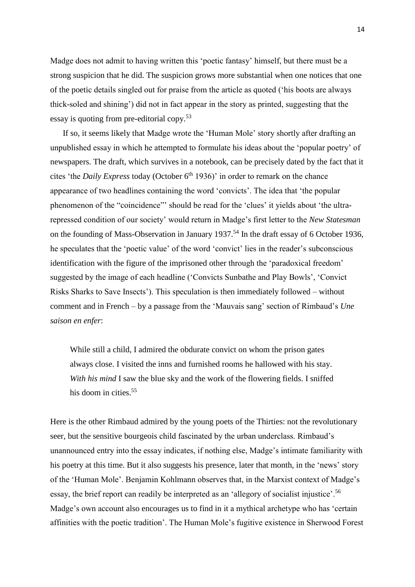Madge does not admit to having written this 'poetic fantasy' himself, but there must be a strong suspicion that he did. The suspicion grows more substantial when one notices that one of the poetic details singled out for praise from the article as quoted ('his boots are always thick-soled and shining') did not in fact appear in the story as printed, suggesting that the essay is quoting from pre-editorial copy.<sup>53</sup>

 If so, it seems likely that Madge wrote the 'Human Mole' story shortly after drafting an unpublished essay in which he attempted to formulate his ideas about the 'popular poetry' of newspapers. The draft, which survives in a notebook, can be precisely dated by the fact that it cites 'the *Daily Express* today (October 6th 1936)' in order to remark on the chance appearance of two headlines containing the word 'convicts'. The idea that 'the popular phenomenon of the "coincidence"' should be read for the 'clues' it yields about 'the ultrarepressed condition of our society' would return in Madge's first letter to the *New Statesman* on the founding of Mass-Observation in January 1937.<sup>54</sup> In the draft essay of 6 October 1936, he speculates that the 'poetic value' of the word 'convict' lies in the reader's subconscious identification with the figure of the imprisoned other through the 'paradoxical freedom' suggested by the image of each headline ('Convicts Sunbathe and Play Bowls', 'Convict Risks Sharks to Save Insects'). This speculation is then immediately followed – without comment and in French – by a passage from the 'Mauvais sang' section of Rimbaud's *Une saison en enfer*:

While still a child, I admired the obdurate convict on whom the prison gates always close. I visited the inns and furnished rooms he hallowed with his stay. *With his mind* I saw the blue sky and the work of the flowering fields. I sniffed his doom in cities.<sup>55</sup>

Here is the other Rimbaud admired by the young poets of the Thirties: not the revolutionary seer, but the sensitive bourgeois child fascinated by the urban underclass. Rimbaud's unannounced entry into the essay indicates, if nothing else, Madge's intimate familiarity with his poetry at this time. But it also suggests his presence, later that month, in the 'news' story of the 'Human Mole'. Benjamin Kohlmann observes that, in the Marxist context of Madge's essay, the brief report can readily be interpreted as an 'allegory of socialist injustice'.<sup>56</sup> Madge's own account also encourages us to find in it a mythical archetype who has 'certain affinities with the poetic tradition'. The Human Mole's fugitive existence in Sherwood Forest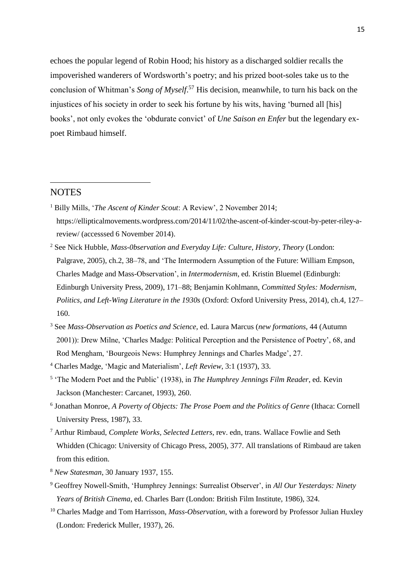echoes the popular legend of Robin Hood; his history as a discharged soldier recalls the impoverished wanderers of Wordsworth's poetry; and his prized boot-soles take us to the conclusion of Whitman's *Song of Myself*. <sup>57</sup> His decision, meanwhile, to turn his back on the injustices of his society in order to seek his fortune by his wits, having 'burned all [his] books', not only evokes the 'obdurate convict' of *Une Saison en Enfer* but the legendary expoet Rimbaud himself.

## **NOTES**

**.** 

- <sup>1</sup> Billy Mills, '*The Ascent of Kinder Scout*: A Review', 2 November 2014; [https://ellipticalmovements.wordpress.com/2014/11/02/the-ascent-of-kinder-scout-by-peter-riley-a](https://ellipticalmovements.wordpress.com/2014/11/02/the-ascent-of-kinder-scout-by-peter-riley-a-review/)[review/](https://ellipticalmovements.wordpress.com/2014/11/02/the-ascent-of-kinder-scout-by-peter-riley-a-review/) (accesssed 6 November 2014).
- <sup>2</sup> See Nick Hubble, *Mass-0bservation and Everyday Life: Culture, History, Theory* (London: Palgrave, 2005), ch.2, 38–78, and 'The Intermodern Assumption of the Future: William Empson, Charles Madge and Mass-Observation', in *Intermodernism*, ed. Kristin Bluemel (Edinburgh: Edinburgh University Press, 2009), 171–88; Benjamin Kohlmann, *Committed Styles: Modernism, Politics, and Left-Wing Literature in the 1930s* (Oxford: Oxford University Press, 2014), ch.4, 127– 160.
- <sup>3</sup> See *Mass-Observation as Poetics and Science*, ed. Laura Marcus (*new formations*, 44 (Autumn 2001)): Drew Milne, 'Charles Madge: Political Perception and the Persistence of Poetry', 68, and Rod Mengham, 'Bourgeois News: Humphrey Jennings and Charles Madge', 27.
- <sup>4</sup> Charles Madge, 'Magic and Materialism', *Left Review*, 3:1 (1937), 33.
- 5 'The Modern Poet and the Public' (1938), in *The Humphrey Jennings Film Reader*, ed. Kevin Jackson (Manchester: Carcanet, 1993), 260.
- 6 Jonathan Monroe, *A Poverty of Objects: The Prose Poem and the Politics of Genre* (Ithaca: Cornell University Press, 1987), 33.
- <sup>7</sup> Arthur Rimbaud, *Complete Works, Selected Letters*, rev. edn, trans. Wallace Fowlie and Seth Whidden (Chicago: University of Chicago Press, 2005), 377. All translations of Rimbaud are taken from this edition.
- <sup>8</sup> *New Statesman*, 30 January 1937, 155.
- <sup>9</sup> Geoffrey Nowell-Smith, 'Humphrey Jennings: Surrealist Observer', in *All Our Yesterdays: Ninety Years of British Cinema*, ed. Charles Barr (London: British Film Institute, 1986), 324.
- <sup>10</sup> Charles Madge and Tom Harrisson, *Mass-Observation*, with a foreword by Professor Julian Huxley (London: Frederick Muller, 1937), 26.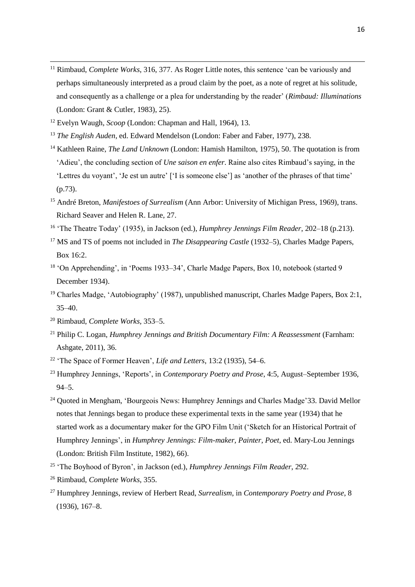- <sup>11</sup> Rimbaud, *Complete Works*, 316, 377. As Roger Little notes, this sentence 'can be variously and perhaps simultaneously interpreted as a proud claim by the poet, as a note of regret at his solitude, and consequently as a challenge or a plea for understanding by the reader' (*Rimbaud: Illuminations* (London: Grant & Cutler, 1983), 25).
- <sup>12</sup> Evelyn Waugh, *Scoop* (London: Chapman and Hall, 1964), 13.
- <sup>13</sup> *The English Auden*, ed. Edward Mendelson (London: Faber and Faber, 1977), 238.
- <sup>14</sup> Kathleen Raine, *The Land Unknown* (London: Hamish Hamilton, 1975), 50. The quotation is from 'Adieu', the concluding section of *Une saison en enfer*. Raine also cites Rimbaud's saying, in the 'Lettres du voyant', 'Je est un autre' ['I is someone else'] as 'another of the phrases of that time' (p.73).
- <sup>15</sup> André Breton, *Manifestoes of Surrealism* (Ann Arbor: University of Michigan Press, 1969), trans. Richard Seaver and Helen R. Lane, 27.
- <sup>16</sup> 'The Theatre Today' (1935), in Jackson (ed.), *Humphrey Jennings Film Reader*, 202–18 (p.213).
- <sup>17</sup> MS and TS of poems not included in *The Disappearing Castle* (1932–5), Charles Madge Papers, Box 16:2.
- <sup>18</sup> 'On Apprehending', in 'Poems 1933–34', Charle Madge Papers, Box 10, notebook (started 9 December 1934).
- <sup>19</sup> Charles Madge, 'Autobiography' (1987), unpublished manuscript, Charles Madge Papers, Box 2:1, 35–40.
- <sup>20</sup> Rimbaud, *Complete Works,* 353–5.

**.** 

- <sup>21</sup> Philip C. Logan, *Humphrey Jennings and British Documentary Film: A Reassessment* (Farnham: Ashgate, 2011), 36.
- <sup>22</sup> 'The Space of Former Heaven', *Life and Letters*, 13:2 (1935), 54–6.
- <sup>23</sup> Humphrey Jennings, 'Reports', in *Contemporary Poetry and Prose*, 4:5, August–September 1936, 94–5.
- <sup>24</sup> Quoted in Mengham, 'Bourgeois News: Humphrey Jennings and Charles Madge'33. David Mellor notes that Jennings began to produce these experimental texts in the same year (1934) that he started work as a documentary maker for the GPO Film Unit ('Sketch for an Historical Portrait of Humphrey Jennings', in *Humphrey Jennings: Film-maker, Painter, Poet*, ed. Mary-Lou Jennings (London: British Film Institute, 1982), 66).
- <sup>25</sup> 'The Boyhood of Byron', in Jackson (ed.), *Humphrey Jennings Film Reader*, 292.
- <sup>26</sup> Rimbaud, *Complete Works*, 355.
- <sup>27</sup> Humphrey Jennings, review of Herbert Read, *Surrealism*, in *Contemporary Poetry and Prose*, 8 (1936), 167–8.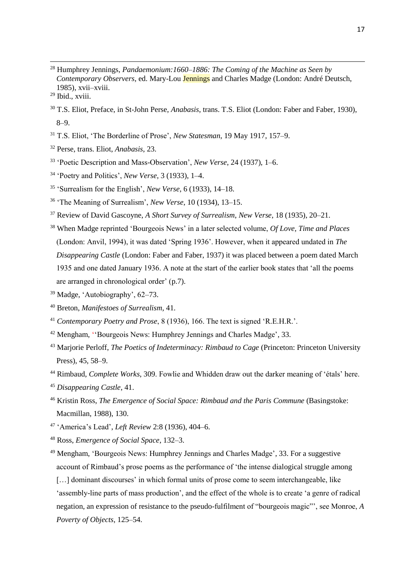Humphrey Jennings, *Pandaemonium:1660–1886: The Coming of the Machine as Seen by Contemporary Observers*, ed. Mary-Lou Jennings and Charles Madge (London: André Deutsch, 1985), xvii–xviii.

**.** 

- T.S. Eliot, Preface, in St-John Perse, *Anabasis*, trans. T.S. Eliot (London: Faber and Faber, 1930), 8–9.
- T.S. Eliot, 'The Borderline of Prose', *New Statesman*, 19 May 1917, 157–9.
- Perse, trans. Eliot, *Anabasis*, 23.
- 'Poetic Description and Mass-Observation', *New Verse*, 24 (1937), 1–6.
- 'Poetry and Politics', *New Verse*, 3 (1933), 1–4.
- 'Surrealism for the English', *New Verse*, 6 (1933), 14–18.
- 'The Meaning of Surrealism', *New Verse*, 10 (1934), 13–15.
- Review of David Gascoyne, *A Short Survey of Surrealism*, *New Verse*, 18 (1935), 20–21.
- When Madge reprinted 'Bourgeois News' in a later selected volume, *Of Love, Time and Places* (London: Anvil, 1994), it was dated 'Spring 1936'. However, when it appeared undated in *The Disappearing Castle* (London: Faber and Faber, 1937) it was placed between a poem dated March 1935 and one dated January 1936. A note at the start of the earlier book states that 'all the poems are arranged in chronological order' (p.7).
- Madge, 'Autobiography', 62–73.
- Breton, *Manifestoes of Surrealism*, 41.
- *Contemporary Poetry and Prose*, 8 (1936), 166. The text is signed 'R.E.H.R.'.
- Mengham, ''Bourgeois News: Humphrey Jennings and Charles Madge', 33.
- Marjorie Perloff, *The Poetics of Indeterminacy: Rimbaud to Cage* (Princeton: Princeton University Press), 45, 58–9.
- Rimbaud, *Complete Works*, 309. Fowlie and Whidden draw out the darker meaning of 'étals' here.
- *Disappearing Castle*, 41.
- Kristin Ross, *The Emergence of Social Space: Rimbaud and the Paris Commune* (Basingstoke: Macmillan, 1988), 130.
- 'America's Lead', *Left Review* 2:8 (1936), 404–6.
- Ross, *Emergence of Social Space*, 132–3.
- Mengham, 'Bourgeois News: Humphrey Jennings and Charles Madge', 33. For a suggestive account of Rimbaud's prose poems as the performance of 'the intense dialogical struggle among

[...] dominant discourses' in which formal units of prose come to seem interchangeable, like 'assembly-line parts of mass production', and the effect of the whole is to create 'a genre of radical negation, an expression of resistance to the pseudo-fulfilment of "bourgeois magic"', see Monroe, *A Poverty of Objects*, 125–54.

Ibid., xviii.